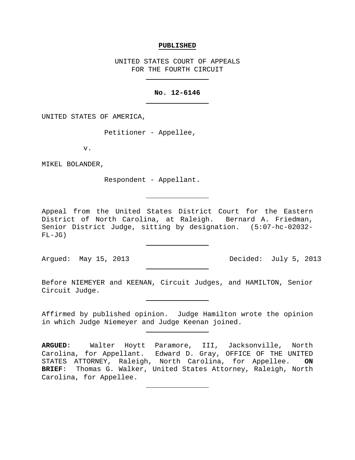#### **PUBLISHED**

UNITED STATES COURT OF APPEALS FOR THE FOURTH CIRCUIT

### **No. 12-6146**

UNITED STATES OF AMERICA,

Petitioner - Appellee,

v.

MIKEL BOLANDER,

Respondent - Appellant.

Appeal from the United States District Court for the Eastern District of North Carolina, at Raleigh. Bernard A. Friedman, Senior District Judge, sitting by designation. (5:07-hc-02032- FL-JG)

Argued: May 15, 2013 Decided: July 5, 2013

Before NIEMEYER and KEENAN, Circuit Judges, and HAMILTON, Senior Circuit Judge.

Affirmed by published opinion. Judge Hamilton wrote the opinion in which Judge Niemeyer and Judge Keenan joined.

**ARGUED**: Walter Hoytt Paramore, III, Jacksonville, North Carolina, for Appellant. Edward D. Gray, OFFICE OF THE UNITED<br>STATES ATTORNEY, Raleigh, North Carolina, for Appellee. ON STATES ATTORNEY, Raleigh, North Carolina, for Appellee. **BRIEF**: Thomas G. Walker, United States Attorney, Raleigh, North Carolina, for Appellee.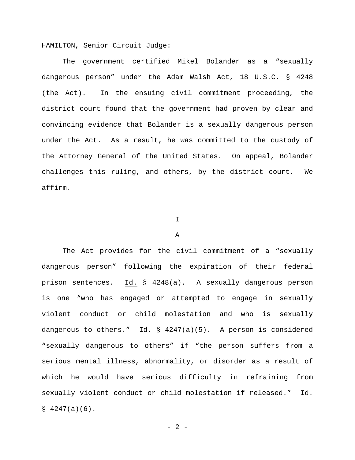HAMILTON, Senior Circuit Judge:

The government certified Mikel Bolander as a "sexually dangerous person" under the Adam Walsh Act, 18 U.S.C. § 4248 (the Act). In the ensuing civil commitment proceeding, the district court found that the government had proven by clear and convincing evidence that Bolander is a sexually dangerous person under the Act. As a result, he was committed to the custody of the Attorney General of the United States. On appeal, Bolander challenges this ruling, and others, by the district court. We affirm.

## I

#### A

The Act provides for the civil commitment of a "sexually dangerous person" following the expiration of their federal prison sentences. Id. § 4248(a). A sexually dangerous person is one "who has engaged or attempted to engage in sexually violent conduct or child molestation and who is sexually dangerous to others." Id. § 4247(a)(5). A person is considered "sexually dangerous to others" if "the person suffers from a serious mental illness, abnormality, or disorder as a result of which he would have serious difficulty in refraining from sexually violent conduct or child molestation if released." Id.  $$4247(a)(6)$ .

 $- 2 -$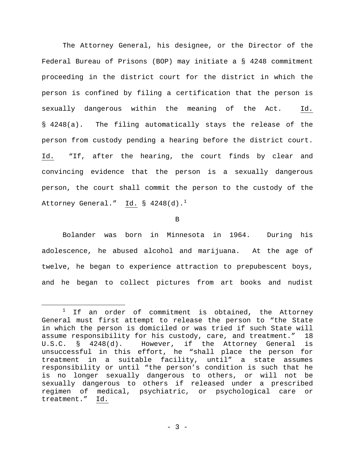The Attorney General, his designee, or the Director of the Federal Bureau of Prisons (BOP) may initiate a § 4248 commitment proceeding in the district court for the district in which the person is confined by filing a certification that the person is sexually dangerous within the meaning of the Act. Id. § 4248(a). The filing automatically stays the release of the person from custody pending a hearing before the district court. Id. "If, after the hearing, the court finds by clear and convincing evidence that the person is a sexually dangerous person, the court shall commit the person to the custody of the Attorney General." Id.  $\S$  4248(d).<sup>[1](#page-2-0)</sup>

B

Bolander was born in Minnesota in 1964. During his adolescence, he abused alcohol and marijuana. At the age of twelve, he began to experience attraction to prepubescent boys, and he began to collect pictures from art books and nudist

<span id="page-2-0"></span> $1$  If an order of commitment is obtained, the Attorney General must first attempt to release the person to "the State in which the person is domiciled or was tried if such State will assume responsibility for his custody, care, and treatment." 18 U.S.C. § 4248(d). However, if the Attorney General is unsuccessful in this effort, he "shall place the person for treatment in a suitable facility, until" a state assumes responsibility or until "the person's condition is such that he is no longer sexually dangerous to others, or will not be sexually dangerous to others if released under a prescribed regimen of medical, psychiatric, or psychological care or treatment." Id.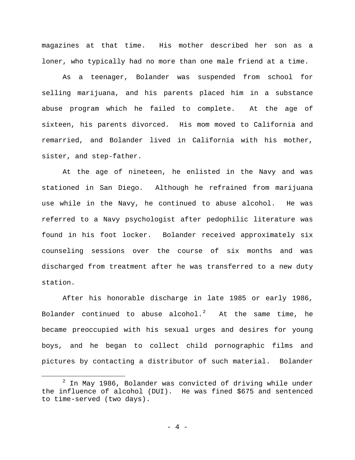magazines at that time. His mother described her son as a loner, who typically had no more than one male friend at a time.

As a teenager, Bolander was suspended from school for selling marijuana, and his parents placed him in a substance abuse program which he failed to complete. At the age of sixteen, his parents divorced. His mom moved to California and remarried, and Bolander lived in California with his mother, sister, and step-father.

At the age of nineteen, he enlisted in the Navy and was stationed in San Diego. Although he refrained from marijuana use while in the Navy, he continued to abuse alcohol. He was referred to a Navy psychologist after pedophilic literature was found in his foot locker. Bolander received approximately six counseling sessions over the course of six months and was discharged from treatment after he was transferred to a new duty station.

After his honorable discharge in late 1985 or early 1986, Bolander continued to abuse alcohol. $^2$  $^2$  At the same time, he became preoccupied with his sexual urges and desires for young boys, and he began to collect child pornographic films and pictures by contacting a distributor of such material. Bolander

<span id="page-3-0"></span> $2$  In May 1986, Bolander was convicted of driving while under the influence of alcohol (DUI). He was fined \$675 and sentenced to time-served (two days).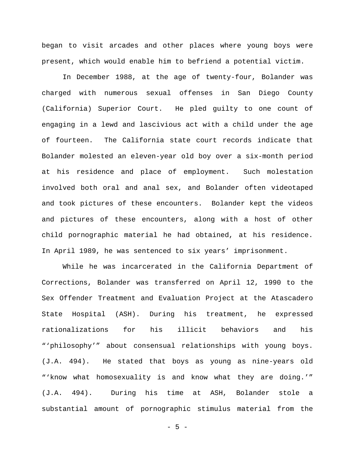began to visit arcades and other places where young boys were present, which would enable him to befriend a potential victim.

In December 1988, at the age of twenty-four, Bolander was charged with numerous sexual offenses in San Diego County (California) Superior Court. He pled guilty to one count of engaging in a lewd and lascivious act with a child under the age of fourteen. The California state court records indicate that Bolander molested an eleven-year old boy over a six-month period at his residence and place of employment. Such molestation involved both oral and anal sex, and Bolander often videotaped and took pictures of these encounters. Bolander kept the videos and pictures of these encounters, along with a host of other child pornographic material he had obtained, at his residence. In April 1989, he was sentenced to six years' imprisonment.

While he was incarcerated in the California Department of Corrections, Bolander was transferred on April 12, 1990 to the Sex Offender Treatment and Evaluation Project at the Atascadero State Hospital (ASH). During his treatment, he expressed rationalizations for his illicit behaviors and his "'philosophy'" about consensual relationships with young boys. (J.A. 494). He stated that boys as young as nine-years old "'know what homosexuality is and know what they are doing.'" (J.A. 494). During his time at ASH, Bolander stole a substantial amount of pornographic stimulus material from the

- 5 -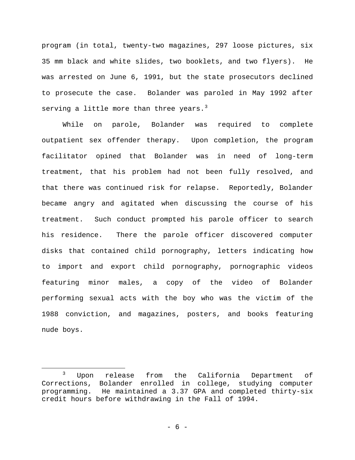program (in total, twenty-two magazines, 297 loose pictures, six 35 mm black and white slides, two booklets, and two flyers). He was arrested on June 6, 1991, but the state prosecutors declined to prosecute the case. Bolander was paroled in May 1992 after serving a little more than three years. $3$ 

While on parole, Bolander was required to complete outpatient sex offender therapy. Upon completion, the program facilitator opined that Bolander was in need of long-term treatment, that his problem had not been fully resolved, and that there was continued risk for relapse. Reportedly, Bolander became angry and agitated when discussing the course of his treatment. Such conduct prompted his parole officer to search his residence. There the parole officer discovered computer disks that contained child pornography, letters indicating how to import and export child pornography, pornographic videos featuring minor males, a copy of the video of Bolander performing sexual acts with the boy who was the victim of the 1988 conviction, and magazines, posters, and books featuring nude boys.

<span id="page-5-0"></span> <sup>3</sup> Upon release from the California Department of Corrections, Bolander enrolled in college, studying computer programming. He maintained a 3.37 GPA and completed thirty-six credit hours before withdrawing in the Fall of 1994.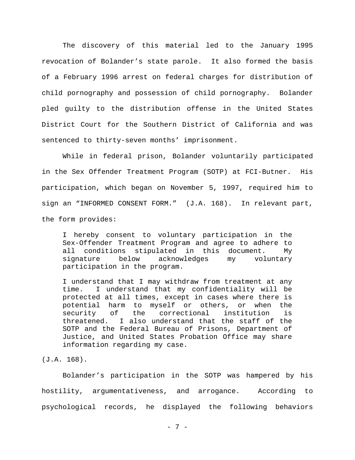The discovery of this material led to the January 1995 revocation of Bolander's state parole. It also formed the basis of a February 1996 arrest on federal charges for distribution of child pornography and possession of child pornography. Bolander pled guilty to the distribution offense in the United States District Court for the Southern District of California and was sentenced to thirty-seven months' imprisonment.

While in federal prison, Bolander voluntarily participated in the Sex Offender Treatment Program (SOTP) at FCI-Butner. His participation, which began on November 5, 1997, required him to sign an "INFORMED CONSENT FORM." (J.A. 168). In relevant part, the form provides:

I hereby consent to voluntary participation in the Sex-Offender Treatment Program and agree to adhere to all conditions stipulated in this document. My<br>signature below acknowledges my voluntary acknowledges my voluntary participation in the program.

I understand that I may withdraw from treatment at any time. I understand that my confidentiality will be protected at all times, except in cases where there is potential harm to myself or others, or when the correctional threatened. I also understand that the staff of the SOTP and the Federal Bureau of Prisons, Department of Justice, and United States Probation Office may share information regarding my case.

(J.A. 168).

Bolander's participation in the SOTP was hampered by his hostility, argumentativeness, and arrogance. According to psychological records, he displayed the following behaviors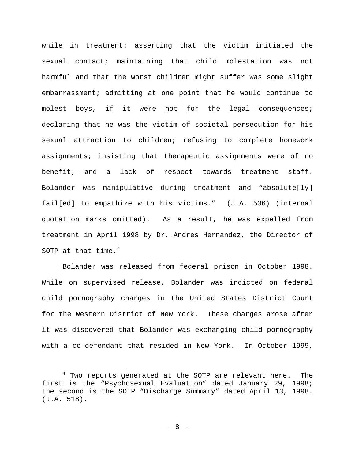while in treatment: asserting that the victim initiated the sexual contact; maintaining that child molestation was not harmful and that the worst children might suffer was some slight embarrassment; admitting at one point that he would continue to molest boys, if it were not for the legal consequences; declaring that he was the victim of societal persecution for his sexual attraction to children; refusing to complete homework assignments; insisting that therapeutic assignments were of no benefit; and a lack of respect towards treatment staff. Bolander was manipulative during treatment and "absolute[ly] fail[ed] to empathize with his victims." (J.A. 536) (internal quotation marks omitted). As a result, he was expelled from treatment in April 1998 by Dr. Andres Hernandez, the Director of SOTP at that time. $4$ 

Bolander was released from federal prison in October 1998. While on supervised release, Bolander was indicted on federal child pornography charges in the United States District Court for the Western District of New York. These charges arose after it was discovered that Bolander was exchanging child pornography with a co-defendant that resided in New York. In October 1999,

<span id="page-7-0"></span><sup>&</sup>lt;sup>4</sup> Two reports generated at the SOTP are relevant here. The first is the "Psychosexual Evaluation" dated January 29, 1998; the second is the SOTP "Discharge Summary" dated April 13, 1998. (J.A. 518).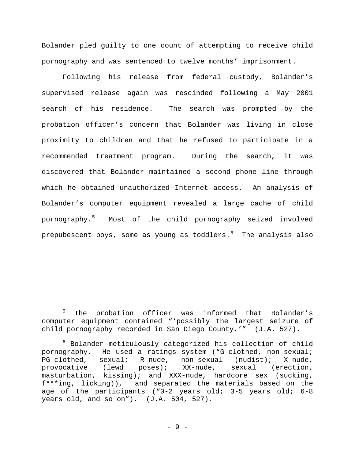Bolander pled guilty to one count of attempting to receive child pornography and was sentenced to twelve months' imprisonment.

Following his release from federal custody, Bolander's supervised release again was rescinded following a May 2001 search of his residence. The search was prompted by the probation officer's concern that Bolander was living in close proximity to children and that he refused to participate in a recommended treatment program. During the search, it was discovered that Bolander maintained a second phone line through which he obtained unauthorized Internet access. An analysis of Bolander's computer equipment revealed a large cache of child pornography.[5](#page-8-0) Most of the child pornography seized involved prepubescent boys, some as young as toddlers. $^{\rm 6}$  $^{\rm 6}$  $^{\rm 6}$  The analysis also

<span id="page-8-0"></span><sup>&</sup>lt;sup>5</sup> The probation officer was informed that Bolander's computer equipment contained "'possibly the largest seizure of child pornography recorded in San Diego County.'" (J.A. 527).

<span id="page-8-1"></span><sup>6</sup> Bolander meticulously categorized his collection of child pornography. He used a ratings system ("G-clothed, non-sexual;<br>PG-clothed, sexual; R-nude, non-sexual (nudist); X-nude, PG-clothed, sexual; R-nude, non-sexual (nudist); X-nude,<br>provocative (lewd poses); XX-nude, sexual (erection, provocative masturbation, kissing); and XXX-nude, hardcore sex (sucking, f\*\*\*ing, licking)), and separated the materials based on the age of the participants ("0-2 years old; 3-5 years old; 6-8 years old, and so on"). (J.A. 504, 527).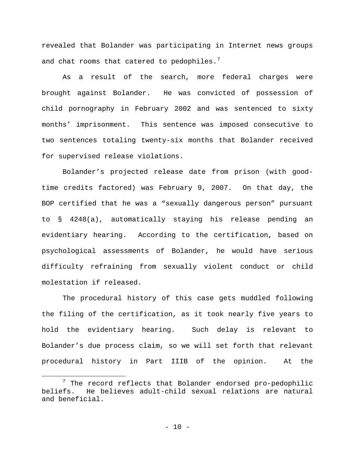revealed that Bolander was participating in Internet news groups and chat rooms that catered to pedophiles. $7$ 

As a result of the search, more federal charges were brought against Bolander. He was convicted of possession of child pornography in February 2002 and was sentenced to sixty months' imprisonment. This sentence was imposed consecutive to two sentences totaling twenty-six months that Bolander received for supervised release violations.

Bolander's projected release date from prison (with goodtime credits factored) was February 9, 2007. On that day, the BOP certified that he was a "sexually dangerous person" pursuant to § 4248(a), automatically staying his release pending an evidentiary hearing. According to the certification, based on psychological assessments of Bolander, he would have serious difficulty refraining from sexually violent conduct or child molestation if released.

The procedural history of this case gets muddled following the filing of the certification, as it took nearly five years to hold the evidentiary hearing. Such delay is relevant to Bolander's due process claim, so we will set forth that relevant procedural history in Part IIIB of the opinion. At the

<span id="page-9-0"></span><sup>&</sup>lt;sup>7</sup> The record reflects that Bolander endorsed pro-pedophilic<br>beliefs. He believes adult-child sexual relations are natural beliefs. He believes adult-child sexual relations are natural and beneficial.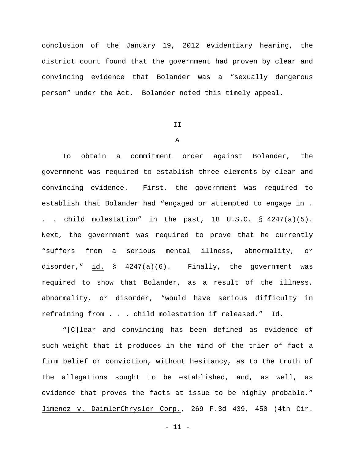conclusion of the January 19, 2012 evidentiary hearing, the district court found that the government had proven by clear and convincing evidence that Bolander was a "sexually dangerous person" under the Act. Bolander noted this timely appeal.

### II

### A

To obtain a commitment order against Bolander, the government was required to establish three elements by clear and convincing evidence. First, the government was required to establish that Bolander had "engaged or attempted to engage in . . . child molestation" in the past, 18 U.S.C. § 4247(a)(5). Next, the government was required to prove that he currently "suffers from a serious mental illness, abnormality, or disorder," id. § 4247(a)(6). Finally, the government was required to show that Bolander, as a result of the illness, abnormality, or disorder, "would have serious difficulty in refraining from . . . child molestation if released." Id.

"[C]lear and convincing has been defined as evidence of such weight that it produces in the mind of the trier of fact a firm belief or conviction, without hesitancy, as to the truth of the allegations sought to be established, and, as well, as evidence that proves the facts at issue to be highly probable." Jimenez v. DaimlerChrysler Corp., 269 F.3d 439, 450 (4th Cir.

- 11 -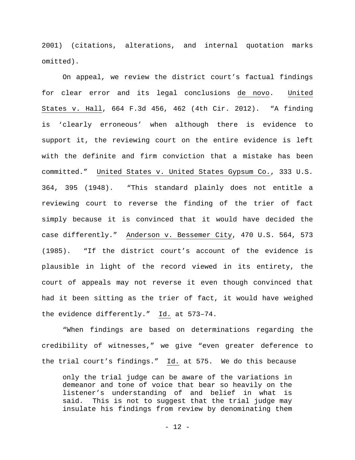2001) (citations, alterations, and internal quotation marks omitted).

On appeal, we review the district court's factual findings for clear error and its legal conclusions de novo. United States v. Hall, 664 F.3d 456, 462 (4th Cir. 2012). "A finding is 'clearly erroneous' when although there is evidence to support it, the reviewing court on the entire evidence is left with the definite and firm conviction that a mistake has been committed." United States v. United States Gypsum Co., 333 U.S. 364, 395 (1948). "This standard plainly does not entitle a reviewing court to reverse the finding of the trier of fact simply because it is convinced that it would have decided the case differently." Anderson v. Bessemer City, 470 U.S. 564, 573 (1985). "If the district court's account of the evidence is plausible in light of the record viewed in its entirety, the court of appeals may not reverse it even though convinced that had it been sitting as the trier of fact, it would have weighed the evidence differently." Id. at 573–74.

"When findings are based on determinations regarding the credibility of witnesses," we give "even greater deference to the trial court's findings." Id. at 575. We do this because

only the trial judge can be aware of the variations in demeanor and tone of voice that bear so heavily on the listener's understanding of and belief in what is said. This is not to suggest that the trial judge may insulate his findings from review by denominating them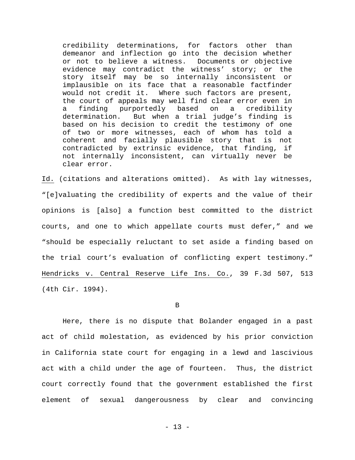credibility determinations, for factors other than demeanor and inflection go into the decision whether or not to believe a witness. Documents or objective evidence may contradict the witness' story; or the story itself may be so internally inconsistent or implausible on its face that a reasonable factfinder would not credit it. Where such factors are present, the court of appeals may well find clear error even in<br>a finding purportedly based on a credibility a finding purportedly based<br>determination. But when a tria But when a trial judge's finding is based on his decision to credit the testimony of one of two or more witnesses, each of whom has told a coherent and facially plausible story that is not contradicted by extrinsic evidence, that finding, if not internally inconsistent, can virtually never be clear error.

Id. (citations and alterations omitted). As with lay witnesses, "[e]valuating the credibility of experts and the value of their opinions is [also] a function best committed to the district courts, and one to which appellate courts must defer," and we "should be especially reluctant to set aside a finding based on the trial court's evaluation of conflicting expert testimony." Hendricks v. Central Reserve Life Ins. Co., 39 F.3d 507, 513 (4th Cir. 1994).

#### B

Here, there is no dispute that Bolander engaged in a past act of child molestation, as evidenced by his prior conviction in California state court for engaging in a lewd and lascivious act with a child under the age of fourteen. Thus, the district court correctly found that the government established the first element of sexual dangerousness by clear and convincing

- 13 -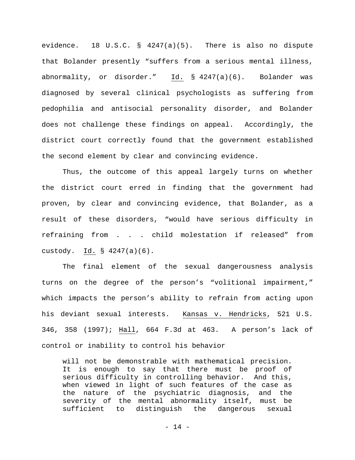evidence. 18 U.S.C. § 4247(a)(5). There is also no dispute that Bolander presently "suffers from a serious mental illness, abnormality, or disorder." Id. § 4247(a)(6). Bolander was diagnosed by several clinical psychologists as suffering from pedophilia and antisocial personality disorder, and Bolander does not challenge these findings on appeal. Accordingly, the district court correctly found that the government established the second element by clear and convincing evidence.

Thus, the outcome of this appeal largely turns on whether the district court erred in finding that the government had proven, by clear and convincing evidence, that Bolander, as a result of these disorders, "would have serious difficulty in refraining from . . . child molestation if released" from custody. Id. § 4247(a)(6).

The final element of the sexual dangerousness analysis turns on the degree of the person's "volitional impairment," which impacts the person's ability to refrain from acting upon his deviant sexual interests. Kansas v. Hendricks, 521 U.S. 346, 358 (1997); Hall, 664 F.3d at 463. A person's lack of control or inability to control his behavior

will not be demonstrable with mathematical precision. It is enough to say that there must be proof of serious difficulty in controlling behavior. And this, when viewed in light of such features of the case as the nature of the psychiatric diagnosis, and the severity of the mental abnormality itself, must be sufficient to distinguish the dangerous sexual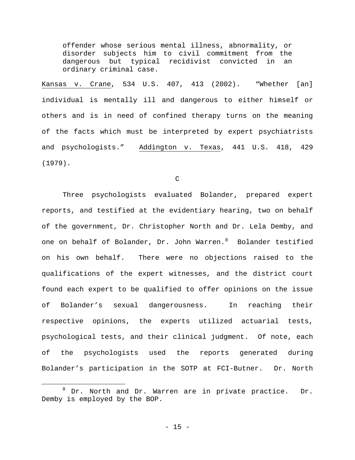offender whose serious mental illness, abnormality, or disorder subjects him to civil commitment from the dangerous but typical recidivist convicted in an ordinary criminal case.

Kansas v. Crane, 534 U.S. 407, 413 (2002). "Whether [an] individual is mentally ill and dangerous to either himself or others and is in need of confined therapy turns on the meaning of the facts which must be interpreted by expert psychiatrists and psychologists." Addington v. Texas, 441 U.S. 418, 429 (1979).

C

Three psychologists evaluated Bolander, prepared expert reports, and testified at the evidentiary hearing, two on behalf of the government, Dr. Christopher North and Dr. Lela Demby, and one on behalf of Bolander, Dr. John Warren. $^8$  $^8$  Bolander testified on his own behalf. There were no objections raised to the qualifications of the expert witnesses, and the district court found each expert to be qualified to offer opinions on the issue of Bolander's sexual dangerousness. In reaching their respective opinions, the experts utilized actuarial tests, psychological tests, and their clinical judgment. Of note, each of the psychologists used the reports generated during Bolander's participation in the SOTP at FCI-Butner. Dr. North

<span id="page-14-0"></span><sup>8</sup> Dr. North and Dr. Warren are in private practice. Dr. Demby is employed by the BOP.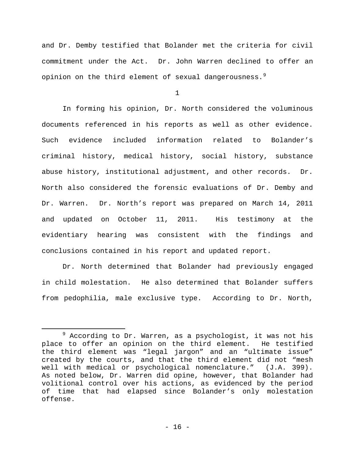and Dr. Demby testified that Bolander met the criteria for civil commitment under the Act. Dr. John Warren declined to offer an opinion on the third element of sexual dangerousness.<sup>[9](#page-15-0)</sup>

1

In forming his opinion, Dr. North considered the voluminous documents referenced in his reports as well as other evidence. Such evidence included information related to Bolander's criminal history, medical history, social history, substance abuse history, institutional adjustment, and other records. Dr. North also considered the forensic evaluations of Dr. Demby and Dr. Warren. Dr. North's report was prepared on March 14, 2011 and updated on October 11, 2011. His testimony at the evidentiary hearing was consistent with the findings and conclusions contained in his report and updated report.

Dr. North determined that Bolander had previously engaged in child molestation. He also determined that Bolander suffers from pedophilia, male exclusive type. According to Dr. North,

<span id="page-15-0"></span> $9$  According to Dr. Warren, as a psychologist, it was not his place to offer an opinion on the third element. He testified the third element was "legal jargon" and an "ultimate issue" created by the courts, and that the third element did not "mesh well with medical or psychological nomenclature." (J.A. 399). As noted below, Dr. Warren did opine, however, that Bolander had volitional control over his actions, as evidenced by the period of time that had elapsed since Bolander's only molestation offense.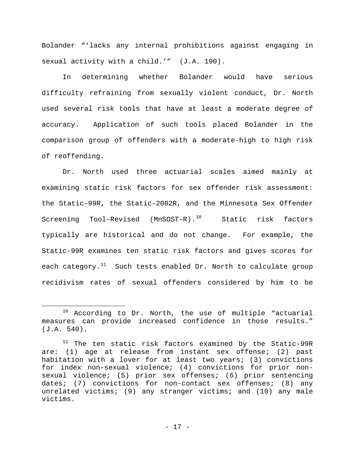Bolander "'lacks any internal prohibitions against engaging in sexual activity with a child.'" (J.A. 190).

In determining whether Bolander would have serious difficulty refraining from sexually violent conduct, Dr. North used several risk tools that have at least a moderate degree of accuracy. Application of such tools placed Bolander in the comparison group of offenders with a moderate-high to high risk of reoffending.

Dr. North used three actuarial scales aimed mainly at examining static risk factors for sex offender risk assessment: the Static–99R, the Static–2002R, and the Minnesota Sex Offender Screening Tool-Revised (MnSOST-R).<sup>10</sup> Static risk factors typically are historical and do not change. For example, the Static-99R examines ten static risk factors and gives scores for each category. $^{11}$  $^{11}$  $^{11}$  Such tests enabled Dr. North to calculate group recidivism rates of sexual offenders considered by him to be

<span id="page-16-0"></span> $10$  According to Dr. North, the use of multiple "actuarial measures can provide increased confidence in those results." (J.A. 540).

<span id="page-16-1"></span><sup>&</sup>lt;sup>11</sup> The ten static risk factors examined by the Static-99R are: (1) age at release from instant sex offense; (2) past habitation with a lover for at least two years; (3) convictions for index non-sexual violence; (4) convictions for prior nonsexual violence; (5) prior sex offenses; (6) prior sentencing dates; (7) convictions for non-contact sex offenses; (8) any unrelated victims; (9) any stranger victims; and (10) any male victims.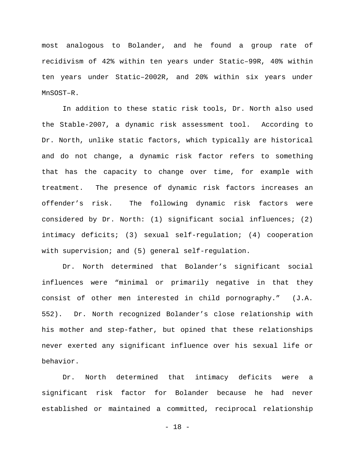most analogous to Bolander, and he found a group rate of recidivism of 42% within ten years under Static–99R, 40% within ten years under Static–2002R, and 20% within six years under MnSOST–R.

In addition to these static risk tools, Dr. North also used the Stable-2007, a dynamic risk assessment tool. According to Dr. North, unlike static factors, which typically are historical and do not change, a dynamic risk factor refers to something that has the capacity to change over time, for example with treatment. The presence of dynamic risk factors increases an offender's risk. The following dynamic risk factors were considered by Dr. North: (1) significant social influences; (2) intimacy deficits; (3) sexual self-regulation; (4) cooperation with supervision; and (5) general self-regulation.

Dr. North determined that Bolander's significant social influences were "minimal or primarily negative in that they consist of other men interested in child pornography." (J.A. 552). Dr. North recognized Bolander's close relationship with his mother and step-father, but opined that these relationships never exerted any significant influence over his sexual life or behavior.

Dr. North determined that intimacy deficits were a significant risk factor for Bolander because he had never established or maintained a committed, reciprocal relationship

- 18 -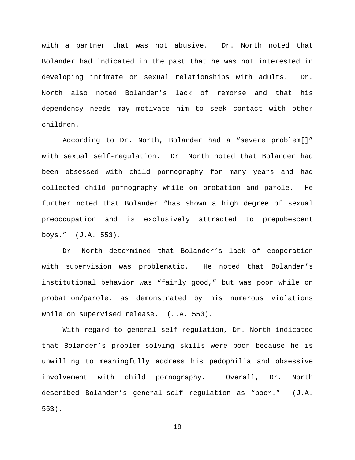with a partner that was not abusive. Dr. North noted that Bolander had indicated in the past that he was not interested in developing intimate or sexual relationships with adults. Dr. North also noted Bolander's lack of remorse and that his dependency needs may motivate him to seek contact with other children.

According to Dr. North, Bolander had a "severe problem[]" with sexual self-regulation. Dr. North noted that Bolander had been obsessed with child pornography for many years and had collected child pornography while on probation and parole. He further noted that Bolander "has shown a high degree of sexual preoccupation and is exclusively attracted to prepubescent boys." (J.A. 553).

Dr. North determined that Bolander's lack of cooperation with supervision was problematic. He noted that Bolander's institutional behavior was "fairly good," but was poor while on probation/parole, as demonstrated by his numerous violations while on supervised release. (J.A. 553).

With regard to general self-regulation, Dr. North indicated that Bolander's problem-solving skills were poor because he is unwilling to meaningfully address his pedophilia and obsessive involvement with child pornography. Overall, Dr. North described Bolander's general-self regulation as "poor." (J.A. 553).

- 19 -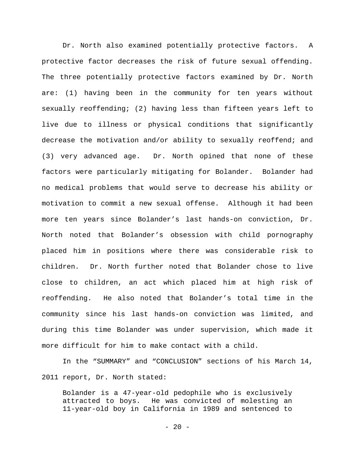Dr. North also examined potentially protective factors. A protective factor decreases the risk of future sexual offending. The three potentially protective factors examined by Dr. North are: (1) having been in the community for ten years without sexually reoffending; (2) having less than fifteen years left to live due to illness or physical conditions that significantly decrease the motivation and/or ability to sexually reoffend; and (3) very advanced age. Dr. North opined that none of these factors were particularly mitigating for Bolander. Bolander had no medical problems that would serve to decrease his ability or motivation to commit a new sexual offense. Although it had been more ten years since Bolander's last hands-on conviction, Dr. North noted that Bolander's obsession with child pornography placed him in positions where there was considerable risk to children. Dr. North further noted that Bolander chose to live close to children, an act which placed him at high risk of reoffending. He also noted that Bolander's total time in the community since his last hands-on conviction was limited, and during this time Bolander was under supervision, which made it more difficult for him to make contact with a child.

In the "SUMMARY" and "CONCLUSION" sections of his March 14, 2011 report, Dr. North stated:

Bolander is a 47-year-old pedophile who is exclusively He was convicted of molesting an 11-year-old boy in California in 1989 and sentenced to

 $-20 -$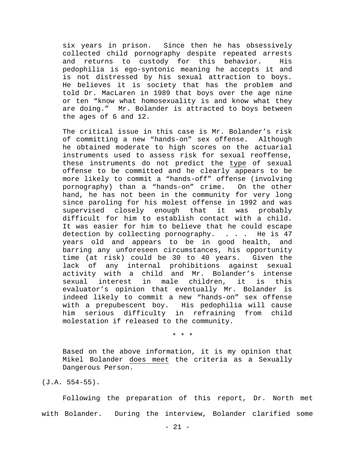six years in prison. Since then he has obsessively collected child pornography despite repeated arrests and returns to custody for this behavior. His pedophilia is ego-syntonic meaning he accepts it and is not distressed by his sexual attraction to boys. He believes it is society that has the problem and told Dr. MacLaren in 1989 that boys over the age nine or ten "know what homosexuality is and know what they are doing." Mr. Bolander is attracted to boys between the ages of 6 and 12.

The critical issue in this case is Mr. Bolander's risk of committing a new "hands-on" sex offense. Although he obtained moderate to high scores on the actuarial instruments used to assess risk for sexual reoffense, these instruments do not predict the type of sexual offense to be committed and he clearly appears to be more likely to commit a "hands-off" offense (involving pornography) than a "hands-on" crime. On the other hand, he has not been in the community for very long since paroling for his molest offense in 1992 and was supervised closely enough that it was probably difficult for him to establish contact with a child. It was easier for him to believe that he could escape detection by collecting pornography. . . . He is 47 years old and appears to be in good health, and barring any unforeseen circumstances, his opportunity<br>time (at risk) could be 30 to 40 years. Given the time (at risk) could be 30 to 40 years. lack of any internal prohibitions against sexual activity with a child and Mr. Bolander's intense<br>sexual interest in male children, it is this children, it evaluator's opinion that eventually Mr. Bolander is indeed likely to commit a new "hands-on" sex offense with a prepubescent boy. His pedophilia will cause him serious difficulty in refraining from child molestation if released to the community.

\* \* \*

Based on the above information, it is my opinion that Mikel Bolander does meet the criteria as a Sexually Dangerous Person.

(J.A. 554-55).

Following the preparation of this report, Dr. North met with Bolander. During the interview, Bolander clarified some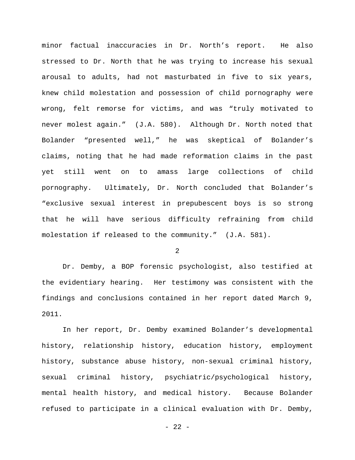minor factual inaccuracies in Dr. North's report. He also stressed to Dr. North that he was trying to increase his sexual arousal to adults, had not masturbated in five to six years, knew child molestation and possession of child pornography were wrong, felt remorse for victims, and was "truly motivated to never molest again." (J.A. 580). Although Dr. North noted that Bolander "presented well," he was skeptical of Bolander's claims, noting that he had made reformation claims in the past yet still went on to amass large collections of child pornography. Ultimately, Dr. North concluded that Bolander's "exclusive sexual interest in prepubescent boys is so strong that he will have serious difficulty refraining from child molestation if released to the community." (J.A. 581).

2

Dr. Demby, a BOP forensic psychologist, also testified at the evidentiary hearing. Her testimony was consistent with the findings and conclusions contained in her report dated March 9, 2011.

In her report, Dr. Demby examined Bolander's developmental history, relationship history, education history, employment history, substance abuse history, non-sexual criminal history, sexual criminal history, psychiatric/psychological history, mental health history, and medical history. Because Bolander refused to participate in a clinical evaluation with Dr. Demby,

 $- 22 -$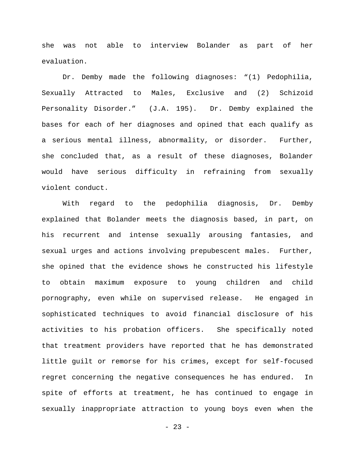she was not able to interview Bolander as part of her evaluation.

Dr. Demby made the following diagnoses: "(1) Pedophilia, Sexually Attracted to Males, Exclusive and (2) Schizoid Personality Disorder." (J.A. 195). Dr. Demby explained the bases for each of her diagnoses and opined that each qualify as a serious mental illness, abnormality, or disorder. Further, she concluded that, as a result of these diagnoses, Bolander would have serious difficulty in refraining from sexually violent conduct.

With regard to the pedophilia diagnosis, Dr. Demby explained that Bolander meets the diagnosis based, in part, on his recurrent and intense sexually arousing fantasies, and sexual urges and actions involving prepubescent males. Further, she opined that the evidence shows he constructed his lifestyle to obtain maximum exposure to young children and child pornography, even while on supervised release. He engaged in sophisticated techniques to avoid financial disclosure of his activities to his probation officers. She specifically noted that treatment providers have reported that he has demonstrated little guilt or remorse for his crimes, except for self-focused regret concerning the negative consequences he has endured. In spite of efforts at treatment, he has continued to engage in sexually inappropriate attraction to young boys even when the

 $- 23 -$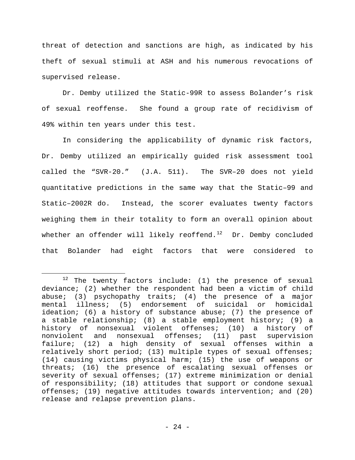threat of detection and sanctions are high, as indicated by his theft of sexual stimuli at ASH and his numerous revocations of supervised release.

Dr. Demby utilized the Static-99R to assess Bolander's risk of sexual reoffense. She found a group rate of recidivism of 49% within ten years under this test.

In considering the applicability of dynamic risk factors, Dr. Demby utilized an empirically guided risk assessment tool called the "SVR-20." (J.A. 511). The SVR–20 does not yield quantitative predictions in the same way that the Static–99 and Static–2002R do. Instead, the scorer evaluates twenty factors weighing them in their totality to form an overall opinion about whether an offender will likely reoffend.<sup>12</sup> Dr. Demby concluded that Bolander had eight factors that were considered to

<span id="page-23-0"></span> $12$  The twenty factors include: (1) the presence of sexual deviance; (2) whether the respondent had been a victim of child abuse; (3) psychopathy traits; (4) the presence of a major mental illness; (5) endorsement of suicidal or homicidal ideation; (6) a history of substance abuse; (7) the presence of a stable relationship; (8) a stable employment history; (9) a history of nonsexual violent offenses; (10) a history of<br>nonviolent and nonsexual offenses; (11) past supervision offenses; (11) past supervision failure; (12) a high density of sexual offenses within a relatively short period; (13) multiple types of sexual offenses; (14) causing victims physical harm; (15) the use of weapons or threats; (16) the presence of escalating sexual offenses or severity of sexual offenses; (17) extreme minimization or denial of responsibility; (18) attitudes that support or condone sexual offenses; (19) negative attitudes towards intervention; and (20) release and relapse prevention plans.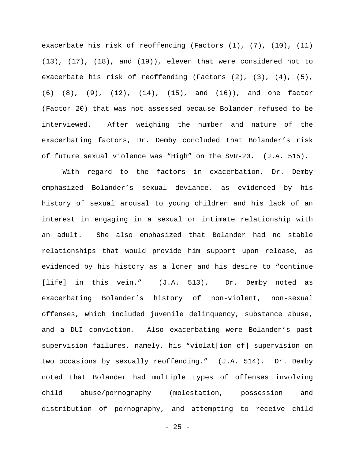exacerbate his risk of reoffending (Factors (1), (7), (10), (11) (13), (17), (18), and (19)), eleven that were considered not to exacerbate his risk of reoffending (Factors (2), (3), (4), (5), (6) (8), (9), (12), (14), (15), and (16)), and one factor (Factor 20) that was not assessed because Bolander refused to be interviewed. After weighing the number and nature of the exacerbating factors, Dr. Demby concluded that Bolander's risk of future sexual violence was "High" on the SVR-20. (J.A. 515).

With regard to the factors in exacerbation, Dr. Demby emphasized Bolander's sexual deviance, as evidenced by his history of sexual arousal to young children and his lack of an interest in engaging in a sexual or intimate relationship with an adult. She also emphasized that Bolander had no stable relationships that would provide him support upon release, as evidenced by his history as a loner and his desire to "continue [life] in this vein." (J.A. 513). Dr. Demby noted as exacerbating Bolander's history of non-violent, non-sexual offenses, which included juvenile delinquency, substance abuse, and a DUI conviction. Also exacerbating were Bolander's past supervision failures, namely, his "violat[ion of] supervision on two occasions by sexually reoffending." (J.A. 514). Dr. Demby noted that Bolander had multiple types of offenses involving child abuse/pornography (molestation, possession and distribution of pornography, and attempting to receive child

 $- 25 -$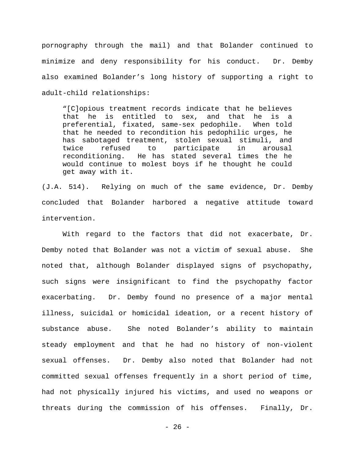pornography through the mail) and that Bolander continued to minimize and deny responsibility for his conduct. Dr. Demby also examined Bolander's long history of supporting a right to adult-child relationships:

"[C]opious treatment records indicate that he believes that he is entitled to sex, and that he is a preferential, fixated, same-sex pedophile. When told that he needed to recondition his pedophilic urges, he has sabotaged treatment, stolen sexual stimuli, and twice refused to participate in arousal reconditioning. He has stated several times the he would continue to molest boys if he thought he could get away with it.

(J.A. 514). Relying on much of the same evidence, Dr. Demby concluded that Bolander harbored a negative attitude toward intervention.

With regard to the factors that did not exacerbate, Dr. Demby noted that Bolander was not a victim of sexual abuse. She noted that, although Bolander displayed signs of psychopathy, such signs were insignificant to find the psychopathy factor exacerbating. Dr. Demby found no presence of a major mental illness, suicidal or homicidal ideation, or a recent history of substance abuse. She noted Bolander's ability to maintain steady employment and that he had no history of non-violent sexual offenses. Dr. Demby also noted that Bolander had not committed sexual offenses frequently in a short period of time, had not physically injured his victims, and used no weapons or threats during the commission of his offenses. Finally, Dr.

 $- 26 -$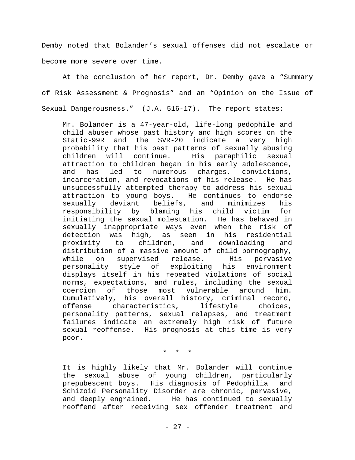Demby noted that Bolander's sexual offenses did not escalate or become more severe over time.

At the conclusion of her report, Dr. Demby gave a "Summary of Risk Assessment & Prognosis" and an "Opinion on the Issue of Sexual Dangerousness." (J.A. 516-17). The report states:

Mr. Bolander is a 47-year-old, life-long pedophile and child abuser whose past history and high scores on the Static-99R and the SVR-20 indicate a very high probability that his past patterns of sexually abusing His paraphilic sexual attraction to children began in his early adolescence, and has led to numerous charges, convictions, incarceration, and revocations of his release. He has unsuccessfully attempted therapy to address his sexual attraction to young boys. He continues to endorse<br>sexually deviant beliefs, and minimizes his sexually deviant beliefs, and minimizes his responsibility by blaming his child victim for initiating the sexual molestation. He has behaved in sexually inappropriate ways even when the risk of detection was high, as seen in his residential<br>proximity to children, and downloading and downloading distribution of a massive amount of child pornography,<br>while on supervised release. His pervasive while on supervised release. His pervasive<br>personality style of exploiting his environment personality style of exploiting his displays itself in his repeated violations of social norms, expectations, and rules, including the sexual coercion of those most vulnerable around him. Cumulatively, his overall history, criminal record,<br>offense characteristics, lifestyle choices, offense characteristics, personality patterns, sexual relapses, and treatment failures indicate an extremely high risk of future sexual reoffense. His prognosis at this time is very poor.

\* \* \*

It is highly likely that Mr. Bolander will continue the sexual abuse of young children, particularly prepubescent boys. His diagnosis of Pedophilia and Schizoid Personality Disorder are chronic, pervasive,<br>and deeply engrained. He has continued to sexually He has continued to sexually reoffend after receiving sex offender treatment and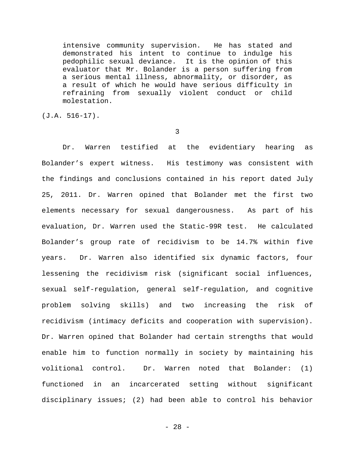intensive community supervision. He has stated and demonstrated his intent to continue to indulge his pedophilic sexual deviance. It is the opinion of this evaluator that Mr. Bolander is a person suffering from a serious mental illness, abnormality, or disorder, as a result of which he would have serious difficulty in refraining from sexually violent conduct or child molestation.

(J.A. 516-17).

3

Dr. Warren testified at the evidentiary hearing as Bolander's expert witness. His testimony was consistent with the findings and conclusions contained in his report dated July 25, 2011. Dr. Warren opined that Bolander met the first two elements necessary for sexual dangerousness. As part of his evaluation, Dr. Warren used the Static-99R test. He calculated Bolander's group rate of recidivism to be 14.7% within five years. Dr. Warren also identified six dynamic factors, four lessening the recidivism risk (significant social influences, sexual self-regulation, general self-regulation, and cognitive problem solving skills) and two increasing the risk of recidivism (intimacy deficits and cooperation with supervision). Dr. Warren opined that Bolander had certain strengths that would enable him to function normally in society by maintaining his volitional control. Dr. Warren noted that Bolander: (1) functioned in an incarcerated setting without significant disciplinary issues; (2) had been able to control his behavior

- 28 -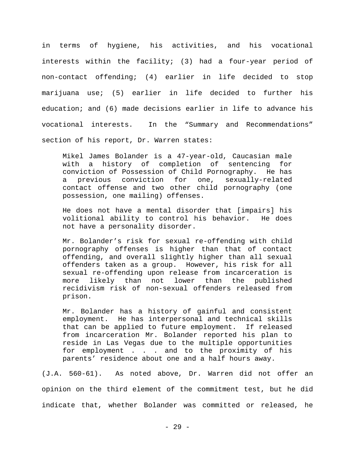in terms of hygiene, his activities, and his vocational interests within the facility; (3) had a four-year period of non-contact offending; (4) earlier in life decided to stop marijuana use; (5) earlier in life decided to further his education; and (6) made decisions earlier in life to advance his vocational interests. In the "Summary and Recommendations" section of his report, Dr. Warren states:

Mikel James Bolander is a 47-year-old, Caucasian male with a history of completion of sentencing for conviction of Possession of Child Pornography. He has a previous conviction for one, contact offense and two other child pornography (one possession, one mailing) offenses.

He does not have a mental disorder that [impairs] his volitional ability to control his behavior. He does not have a personality disorder.

Mr. Bolander's risk for sexual re-offending with child pornography offenses is higher than that of contact offending, and overall slightly higher than all sexual offenders taken as a group. However, his risk for all sexual re-offending upon release from incarceration is more likely than not lower than the published recidivism risk of non-sexual offenders released from prison.

Mr. Bolander has a history of gainful and consistent employment. He has interpersonal and technical skills that can be applied to future employment. If released from incarceration Mr. Bolander reported his plan to reside in Las Vegas due to the multiple opportunities for employment . . . and to the proximity of his parents' residence about one and a half hours away.

(J.A. 560-61). As noted above, Dr. Warren did not offer an opinion on the third element of the commitment test, but he did indicate that, whether Bolander was committed or released, he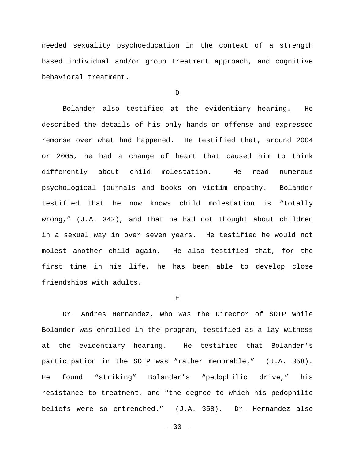needed sexuality psychoeducation in the context of a strength based individual and/or group treatment approach, and cognitive behavioral treatment.

D

Bolander also testified at the evidentiary hearing. He described the details of his only hands-on offense and expressed remorse over what had happened. He testified that, around 2004 or 2005, he had a change of heart that caused him to think differently about child molestation. He read numerous psychological journals and books on victim empathy. Bolander testified that he now knows child molestation is "totally wrong," (J.A. 342), and that he had not thought about children in a sexual way in over seven years. He testified he would not molest another child again. He also testified that, for the first time in his life, he has been able to develop close friendships with adults.

E

Dr. Andres Hernandez, who was the Director of SOTP while Bolander was enrolled in the program, testified as a lay witness at the evidentiary hearing. He testified that Bolander's participation in the SOTP was "rather memorable." (J.A. 358). He found "striking" Bolander's "pedophilic drive," his resistance to treatment, and "the degree to which his pedophilic beliefs were so entrenched." (J.A. 358). Dr. Hernandez also

 $-30 -$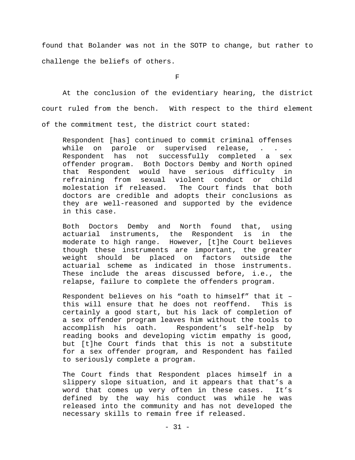found that Bolander was not in the SOTP to change, but rather to challenge the beliefs of others.

 $\mathbf F$ 

At the conclusion of the evidentiary hearing, the district court ruled from the bench. With respect to the third element of the commitment test, the district court stated:

Respondent [has] continued to commit criminal offenses<br>while on parole or supervised release, . . . while on parole or supervised release, . . . Respondent has not successfully completed a sex offender program. Both Doctors Demby and North opined that Respondent would have serious difficulty in refraining from sexual violent conduct or child The Court finds that both doctors are credible and adopts their conclusions as they are well-reasoned and supported by the evidence in this case.

Both Doctors Demby and North found that, using actuarial instruments, the Respondent is in the moderate to high range. However, [t]he Court believes though these instruments are important, the greater<br>weight should be placed on factors outside the weight should be placed actuarial scheme as indicated in those instruments. These include the areas discussed before, i.e., the relapse, failure to complete the offenders program.

Respondent believes on his "oath to himself" that it – this will ensure that he does not reoffend. This is certainly a good start, but his lack of completion of a sex offender program leaves him without the tools to accomplish his oath. Respondent's self-help by reading books and developing victim empathy is good, but [t]he Court finds that this is not a substitute for a sex offender program, and Respondent has failed to seriously complete a program.

The Court finds that Respondent places himself in a slippery slope situation, and it appears that that's a<br>word that comes up very often in these cases. It's word that comes up very often in these cases. defined by the way his conduct was while he was released into the community and has not developed the necessary skills to remain free if released.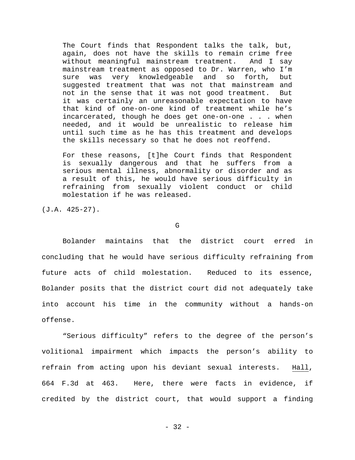The Court finds that Respondent talks the talk, but, again, does not have the skills to remain crime free without meaningful mainstream treatment. And I say mainstream treatment as opposed to Dr. Warren, who I'm sure was very knowledgeable and so forth, but suggested treatment that was not that mainstream and not in the sense that it was not good treatment. But it was certainly an unreasonable expectation to have that kind of one-on-one kind of treatment while he's incarcerated, though he does get one-on-one . . . when needed, and it would be unrealistic to release him until such time as he has this treatment and develops the skills necessary so that he does not reoffend.

For these reasons, [t]he Court finds that Respondent is sexually dangerous and that he suffers from a serious mental illness, abnormality or disorder and as a result of this, he would have serious difficulty in refraining from sexually violent conduct or child molestation if he was released.

(J.A. 425-27).

G

Bolander maintains that the district court erred in concluding that he would have serious difficulty refraining from future acts of child molestation. Reduced to its essence, Bolander posits that the district court did not adequately take into account his time in the community without a hands-on offense.

"Serious difficulty" refers to the degree of the person's volitional impairment which impacts the person's ability to refrain from acting upon his deviant sexual interests. Hall, 664 F.3d at 463. Here, there were facts in evidence, if credited by the district court, that would support a finding

- 32 -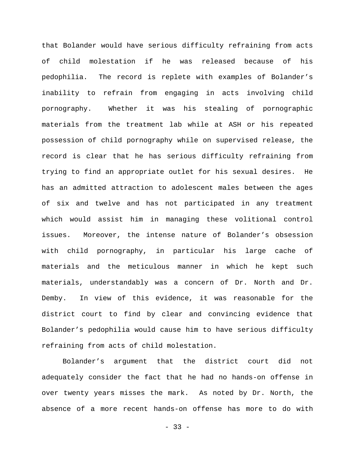that Bolander would have serious difficulty refraining from acts of child molestation if he was released because of his pedophilia. The record is replete with examples of Bolander's inability to refrain from engaging in acts involving child pornography. Whether it was his stealing of pornographic materials from the treatment lab while at ASH or his repeated possession of child pornography while on supervised release, the record is clear that he has serious difficulty refraining from trying to find an appropriate outlet for his sexual desires. He has an admitted attraction to adolescent males between the ages of six and twelve and has not participated in any treatment which would assist him in managing these volitional control issues. Moreover, the intense nature of Bolander's obsession with child pornography, in particular his large cache of materials and the meticulous manner in which he kept such materials, understandably was a concern of Dr. North and Dr. Demby. In view of this evidence, it was reasonable for the district court to find by clear and convincing evidence that Bolander's pedophilia would cause him to have serious difficulty refraining from acts of child molestation.

Bolander's argument that the district court did not adequately consider the fact that he had no hands-on offense in over twenty years misses the mark. As noted by Dr. North, the absence of a more recent hands-on offense has more to do with

 $-33 -$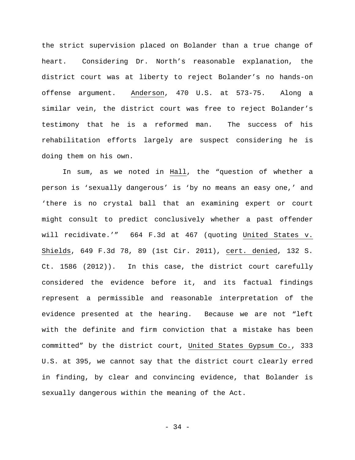the strict supervision placed on Bolander than a true change of heart. Considering Dr. North's reasonable explanation, the district court was at liberty to reject Bolander's no hands-on offense argument. Anderson, 470 U.S. at 573-75. Along a similar vein, the district court was free to reject Bolander's testimony that he is a reformed man. The success of his rehabilitation efforts largely are suspect considering he is doing them on his own.

In sum, as we noted in Hall, the "question of whether a person is 'sexually dangerous' is 'by no means an easy one,' and 'there is no crystal ball that an examining expert or court might consult to predict conclusively whether a past offender will recidivate.'" 664 F.3d at 467 (quoting United States v. Shields, 649 F.3d 78, 89 (1st Cir. 2011), cert. denied, 132 S. Ct. 1586 (2012)). In this case, the district court carefully considered the evidence before it, and its factual findings represent a permissible and reasonable interpretation of the evidence presented at the hearing. Because we are not "left with the definite and firm conviction that a mistake has been committed" by the district court, United States Gypsum Co., 333 U.S. at 395, we cannot say that the district court clearly erred in finding, by clear and convincing evidence, that Bolander is sexually dangerous within the meaning of the Act.

- 34 -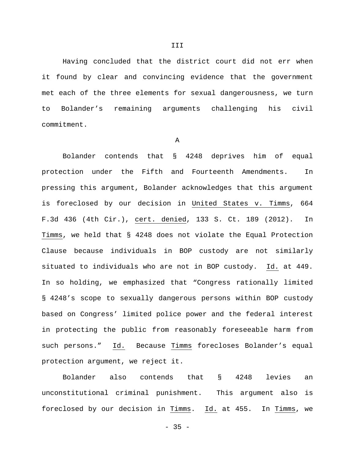Having concluded that the district court did not err when it found by clear and convincing evidence that the government met each of the three elements for sexual dangerousness, we turn to Bolander's remaining arguments challenging his civil commitment.

A

Bolander contends that § 4248 deprives him of equal protection under the Fifth and Fourteenth Amendments. In pressing this argument, Bolander acknowledges that this argument is foreclosed by our decision in United States v. Timms, 664 F.3d 436 (4th Cir.), cert. denied, 133 S. Ct. 189 (2012). In Timms, we held that § 4248 does not violate the Equal Protection Clause because individuals in BOP custody are not similarly situated to individuals who are not in BOP custody. Id. at 449. In so holding, we emphasized that "Congress rationally limited § 4248's scope to sexually dangerous persons within BOP custody based on Congress' limited police power and the federal interest in protecting the public from reasonably foreseeable harm from such persons." Id. Because Timms forecloses Bolander's equal protection argument, we reject it.

Bolander also contends that § 4248 levies an unconstitutional criminal punishment. This argument also is foreclosed by our decision in Timms. Id. at 455. In Timms, we

 $-35 -$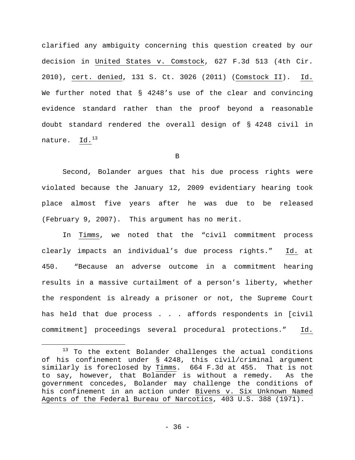clarified any ambiguity concerning this question created by our decision in United States v. Comstock, 627 F.3d 513 (4th Cir. 2010), cert. denied, 131 S. Ct. 3026 (2011) (Comstock II). Id. We further noted that § 4248's use of the clear and convincing evidence standard rather than the proof beyond a reasonable doubt standard rendered the overall design of § 4248 civil in nature. Id.<sup>[13](#page-35-0)</sup>

B

Second, Bolander argues that his due process rights were violated because the January 12, 2009 evidentiary hearing took place almost five years after he was due to be released (February 9, 2007). This argument has no merit.

In Timms, we noted that the "civil commitment process clearly impacts an individual's due process rights." Id. at 450. "Because an adverse outcome in a commitment hearing results in a massive curtailment of a person's liberty, whether the respondent is already a prisoner or not, the Supreme Court has held that due process . . . affords respondents in [civil commitment] proceedings several procedural protections." Id.

<span id="page-35-0"></span><sup>&</sup>lt;sup>13</sup> To the extent Bolander challenges the actual conditions of his confinement under § 4248, this civil/criminal argument similarly is foreclosed by Timms. 664 F.3d at 455. That is not to say, however, that Bolander is without a remedy. As the government concedes, Bolander may challenge the conditions of his confinement in an action under Bivens v. Six Unknown Named Agents of the Federal Bureau of Narcotics, 403 U.S. 388 (1971).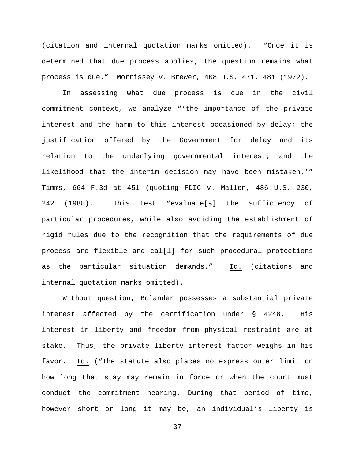(citation and internal quotation marks omitted). "Once it is determined that due process applies, the question remains what process is due." Morrissey v. Brewer, 408 U.S. 471, 481 (1972).

In assessing what due process is due in the civil commitment context, we analyze "'the importance of the private interest and the harm to this interest occasioned by delay; the justification offered by the Government for delay and its relation to the underlying governmental interest; and the likelihood that the interim decision may have been mistaken.'" Timms, 664 F.3d at 451 (quoting FDIC v. Mallen, 486 U.S. 230, 242 (1988). This test "evaluate[s] the sufficiency of particular procedures, while also avoiding the establishment of rigid rules due to the recognition that the requirements of due process are flexible and cal[l] for such procedural protections as the particular situation demands." Id. (citations and internal quotation marks omitted).

Without question, Bolander possesses a substantial private interest affected by the certification under § 4248. His interest in liberty and freedom from physical restraint are at stake. Thus, the private liberty interest factor weighs in his favor. Id. ("The statute also places no express outer limit on how long that stay may remain in force or when the court must conduct the commitment hearing. During that period of time, however short or long it may be, an individual's liberty is

- 37 -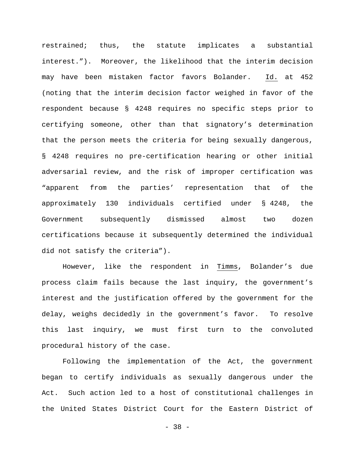restrained; thus, the statute implicates a substantial interest."). Moreover, the likelihood that the interim decision may have been mistaken factor favors Bolander. Id. at 452 (noting that the interim decision factor weighed in favor of the respondent because § 4248 requires no specific steps prior to certifying someone, other than that signatory's determination that the person meets the criteria for being sexually dangerous, § 4248 requires no pre-certification hearing or other initial adversarial review, and the risk of improper certification was "apparent from the parties' representation that of the approximately 130 individuals certified under § 4248, the Government subsequently dismissed almost two dozen certifications because it subsequently determined the individual did not satisfy the criteria").

However, like the respondent in Timms, Bolander's due process claim fails because the last inquiry, the government's interest and the justification offered by the government for the delay, weighs decidedly in the government's favor. To resolve this last inquiry, we must first turn to the convoluted procedural history of the case.

Following the implementation of the Act, the government began to certify individuals as sexually dangerous under the Act. Such action led to a host of constitutional challenges in the United States District Court for the Eastern District of

- 38 -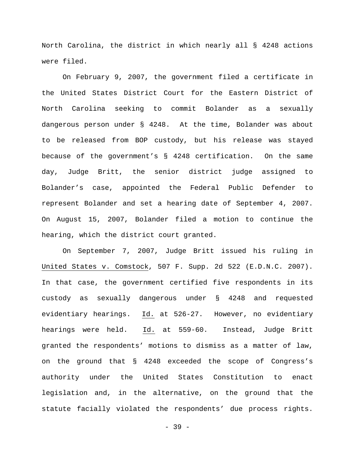North Carolina, the district in which nearly all § 4248 actions were filed.

On February 9, 2007, the government filed a certificate in the United States District Court for the Eastern District of North Carolina seeking to commit Bolander as a sexually dangerous person under § 4248. At the time, Bolander was about to be released from BOP custody, but his release was stayed because of the government's § 4248 certification. On the same day, Judge Britt, the senior district judge assigned to Bolander's case, appointed the Federal Public Defender to represent Bolander and set a hearing date of September 4, 2007. On August 15, 2007, Bolander filed a motion to continue the hearing, which the district court granted.

On September 7, 2007, Judge Britt issued his ruling in United States v. Comstock, 507 F. Supp. 2d 522 (E.D.N.C. 2007). In that case, the government certified five respondents in its custody as sexually dangerous under § 4248 and requested evidentiary hearings. Id. at 526-27. However, no evidentiary hearings were held. Id. at 559-60. Instead, Judge Britt granted the respondents' motions to dismiss as a matter of law, on the ground that § 4248 exceeded the scope of Congress's authority under the United States Constitution to enact legislation and, in the alternative, on the ground that the statute facially violated the respondents' due process rights.

- 39 -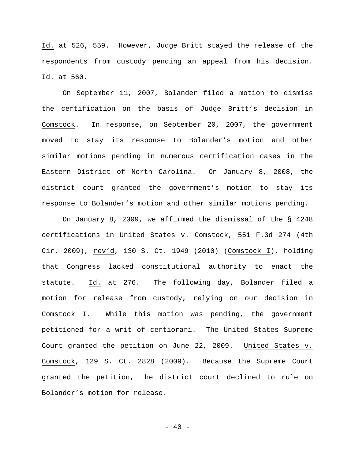Id. at 526, 559. However, Judge Britt stayed the release of the respondents from custody pending an appeal from his decision. Id. at 560.

On September 11, 2007, Bolander filed a motion to dismiss the certification on the basis of Judge Britt's decision in Comstock. In response, on September 20, 2007, the government moved to stay its response to Bolander's motion and other similar motions pending in numerous certification cases in the Eastern District of North Carolina. On January 8, 2008, the district court granted the government's motion to stay its response to Bolander's motion and other similar motions pending.

On January 8, 2009, we affirmed the dismissal of the § 4248 certifications in United States v. Comstock, 551 F.3d 274 (4th Cir. 2009), rev'd, 130 S. Ct. 1949 (2010) (Comstock I), holding that Congress lacked constitutional authority to enact the statute. Id. at 276. The following day, Bolander filed a motion for release from custody, relying on our decision in Comstock I. While this motion was pending, the government petitioned for a writ of certiorari. The United States Supreme Court granted the petition on June 22, 2009. United States v. Comstock, 129 S. Ct. 2828 (2009). Because the Supreme Court granted the petition, the district court declined to rule on Bolander's motion for release.

 $- 40 -$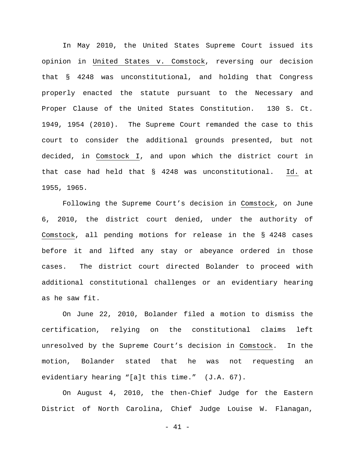In May 2010, the United States Supreme Court issued its opinion in United States v. Comstock, reversing our decision that § 4248 was unconstitutional, and holding that Congress properly enacted the statute pursuant to the Necessary and Proper Clause of the United States Constitution. 130 S. Ct. 1949, 1954 (2010). The Supreme Court remanded the case to this court to consider the additional grounds presented, but not decided, in Comstock I, and upon which the district court in that case had held that § 4248 was unconstitutional. Id. at 1955, 1965.

Following the Supreme Court's decision in Comstock, on June 6, 2010, the district court denied, under the authority of Comstock, all pending motions for release in the § 4248 cases before it and lifted any stay or abeyance ordered in those cases. The district court directed Bolander to proceed with additional constitutional challenges or an evidentiary hearing as he saw fit.

On June 22, 2010, Bolander filed a motion to dismiss the certification, relying on the constitutional claims left unresolved by the Supreme Court's decision in Comstock. In the motion, Bolander stated that he was not requesting an evidentiary hearing "[a]t this time." (J.A. 67).

On August 4, 2010, the then-Chief Judge for the Eastern District of North Carolina, Chief Judge Louise W. Flanagan,

- 41 -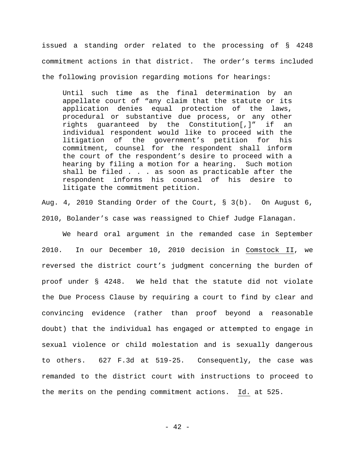issued a standing order related to the processing of § 4248 commitment actions in that district. The order's terms included the following provision regarding motions for hearings:

Until such time as the final determination by an appellate court of "any claim that the statute or its application denies equal protection of the laws, procedural or substantive due process, or any other rights guaranteed by the Constitution[,]" if an individual respondent would like to proceed with the<br>litigation of the government's petition for his the government's petition for his commitment, counsel for the respondent shall inform the court of the respondent's desire to proceed with a hearing by filing a motion for a hearing. Such motion shall be filed . . . as soon as practicable after the respondent informs his counsel of his desire to litigate the commitment petition.

Aug. 4, 2010 Standing Order of the Court, § 3(b). On August 6, 2010, Bolander's case was reassigned to Chief Judge Flanagan.

We heard oral argument in the remanded case in September 2010. In our December 10, 2010 decision in Comstock II, we reversed the district court's judgment concerning the burden of proof under § 4248. We held that the statute did not violate the Due Process Clause by requiring a court to find by clear and convincing evidence (rather than proof beyond a reasonable doubt) that the individual has engaged or attempted to engage in sexual violence or child molestation and is sexually dangerous to others. 627 F.3d at 519-25. Consequently, the case was remanded to the district court with instructions to proceed to the merits on the pending commitment actions. Id. at 525.

 $- 42 -$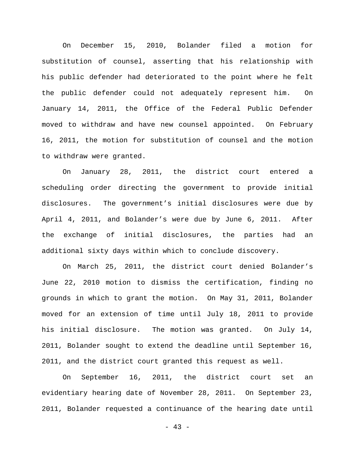On December 15, 2010, Bolander filed a motion for substitution of counsel, asserting that his relationship with his public defender had deteriorated to the point where he felt the public defender could not adequately represent him. On January 14, 2011, the Office of the Federal Public Defender moved to withdraw and have new counsel appointed. On February 16, 2011, the motion for substitution of counsel and the motion to withdraw were granted.

On January 28, 2011, the district court entered a scheduling order directing the government to provide initial disclosures. The government's initial disclosures were due by April 4, 2011, and Bolander's were due by June 6, 2011. After the exchange of initial disclosures, the parties had an additional sixty days within which to conclude discovery.

On March 25, 2011, the district court denied Bolander's June 22, 2010 motion to dismiss the certification, finding no grounds in which to grant the motion. On May 31, 2011, Bolander moved for an extension of time until July 18, 2011 to provide his initial disclosure. The motion was granted. On July 14, 2011, Bolander sought to extend the deadline until September 16, 2011, and the district court granted this request as well.

On September 16, 2011, the district court set an evidentiary hearing date of November 28, 2011. On September 23, 2011, Bolander requested a continuance of the hearing date until

 $- 43 -$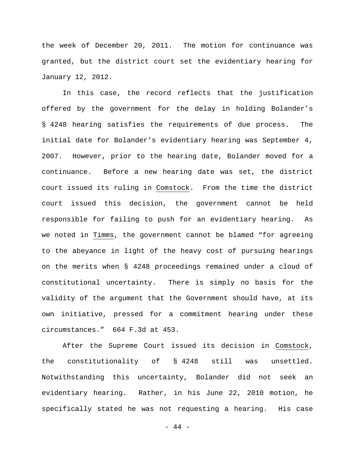the week of December 20, 2011. The motion for continuance was granted, but the district court set the evidentiary hearing for January 12, 2012.

In this case, the record reflects that the justification offered by the government for the delay in holding Bolander's § 4248 hearing satisfies the requirements of due process. The initial date for Bolander's evidentiary hearing was September 4, 2007. However, prior to the hearing date, Bolander moved for a continuance. Before a new hearing date was set, the district court issued its ruling in Comstock. From the time the district court issued this decision, the government cannot be held responsible for failing to push for an evidentiary hearing. As we noted in Timms, the government cannot be blamed "for agreeing to the abeyance in light of the heavy cost of pursuing hearings on the merits when § 4248 proceedings remained under a cloud of constitutional uncertainty. There is simply no basis for the validity of the argument that the Government should have, at its own initiative, pressed for a commitment hearing under these circumstances." 664 F.3d at 453.

After the Supreme Court issued its decision in Comstock, the constitutionality of § 4248 still was unsettled. Notwithstanding this uncertainty, Bolander did not seek an evidentiary hearing. Rather, in his June 22, 2010 motion, he specifically stated he was not requesting a hearing. His case

- 44 -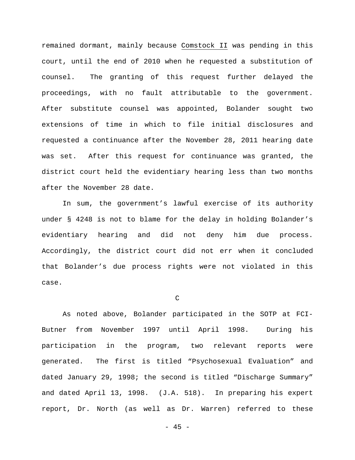remained dormant, mainly because Comstock II was pending in this court, until the end of 2010 when he requested a substitution of counsel. The granting of this request further delayed the proceedings, with no fault attributable to the government. After substitute counsel was appointed, Bolander sought two extensions of time in which to file initial disclosures and requested a continuance after the November 28, 2011 hearing date was set. After this request for continuance was granted, the district court held the evidentiary hearing less than two months after the November 28 date.

In sum, the government's lawful exercise of its authority under § 4248 is not to blame for the delay in holding Bolander's evidentiary hearing and did not deny him due process. Accordingly, the district court did not err when it concluded that Bolander's due process rights were not violated in this case.

C

As noted above, Bolander participated in the SOTP at FCI-Butner from November 1997 until April 1998. During his participation in the program, two relevant reports were generated. The first is titled "Psychosexual Evaluation" and dated January 29, 1998; the second is titled "Discharge Summary" and dated April 13, 1998. (J.A. 518). In preparing his expert report, Dr. North (as well as Dr. Warren) referred to these

- 45 -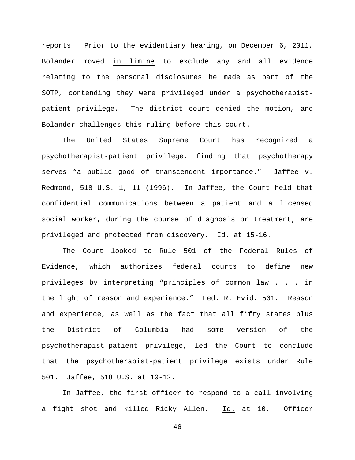reports. Prior to the evidentiary hearing, on December 6, 2011, Bolander moved in limine to exclude any and all evidence relating to the personal disclosures he made as part of the SOTP, contending they were privileged under a psychotherapistpatient privilege. The district court denied the motion, and Bolander challenges this ruling before this court.

The United States Supreme Court has recognized a psychotherapist-patient privilege, finding that psychotherapy serves "a public good of transcendent importance." Jaffee v. Redmond, 518 U.S. 1, 11 (1996). In Jaffee, the Court held that confidential communications between a patient and a licensed social worker, during the course of diagnosis or treatment, are privileged and protected from discovery. Id. at 15-16.

The Court looked to Rule 501 of the Federal Rules of Evidence, which authorizes federal courts to define new privileges by interpreting "principles of common law . . . in the light of reason and experience." Fed. R. Evid. 501. Reason and experience, as well as the fact that all fifty states plus the District of Columbia had some version of the psychotherapist-patient privilege, led the Court to conclude that the psychotherapist-patient privilege exists under Rule 501. Jaffee, 518 U.S. at 10-12.

In Jaffee, the first officer to respond to a call involving a fight shot and killed Ricky Allen. Id. at 10. Officer

 $- 46 -$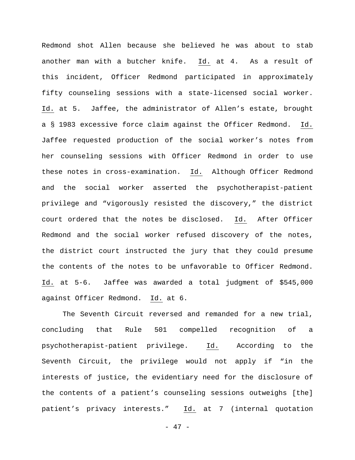Redmond shot Allen because she believed he was about to stab another man with a butcher knife. Id. at 4. As a result of this incident, Officer Redmond participated in approximately fifty counseling sessions with a state-licensed social worker. Id. at 5. Jaffee, the administrator of Allen's estate, brought a § 1983 excessive force claim against the Officer Redmond. Id. Jaffee requested production of the social worker's notes from her counseling sessions with Officer Redmond in order to use these notes in cross-examination. Id. Although Officer Redmond and the social worker asserted the psychotherapist-patient privilege and "vigorously resisted the discovery," the district court ordered that the notes be disclosed. Id. After Officer Redmond and the social worker refused discovery of the notes, the district court instructed the jury that they could presume the contents of the notes to be unfavorable to Officer Redmond. Id. at 5-6. Jaffee was awarded a total judgment of \$545,000 against Officer Redmond. Id. at 6.

The Seventh Circuit reversed and remanded for a new trial, concluding that Rule 501 compelled recognition of a psychotherapist-patient privilege. Id. According to the Seventh Circuit, the privilege would not apply if "in the interests of justice, the evidentiary need for the disclosure of the contents of a patient's counseling sessions outweighs [the] patient's privacy interests." Id. at 7 (internal quotation

- 47 -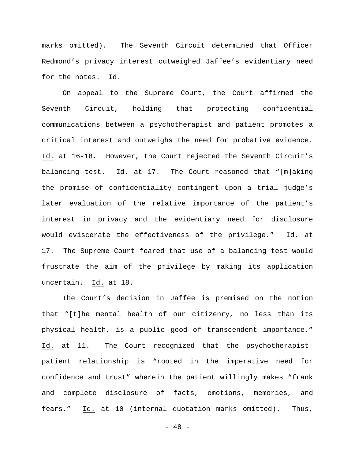marks omitted). The Seventh Circuit determined that Officer Redmond's privacy interest outweighed Jaffee's evidentiary need for the notes. Id.

On appeal to the Supreme Court, the Court affirmed the Seventh Circuit, holding that protecting confidential communications between a psychotherapist and patient promotes a critical interest and outweighs the need for probative evidence. Id. at 16-18. However, the Court rejected the Seventh Circuit's balancing test. Id. at 17. The Court reasoned that "[m]aking the promise of confidentiality contingent upon a trial judge's later evaluation of the relative importance of the patient's interest in privacy and the evidentiary need for disclosure would eviscerate the effectiveness of the privilege." Id. at 17. The Supreme Court feared that use of a balancing test would frustrate the aim of the privilege by making its application uncertain. Id. at 18.

The Court's decision in Jaffee is premised on the notion that "[t]he mental health of our citizenry, no less than its physical health, is a public good of transcendent importance." Id. at 11. The Court recognized that the psychotherapistpatient relationship is "rooted in the imperative need for confidence and trust" wherein the patient willingly makes "frank and complete disclosure of facts, emotions, memories, and fears." Id. at 10 (internal quotation marks omitted). Thus,

- 48 -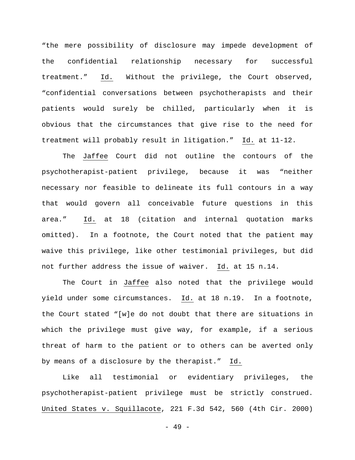"the mere possibility of disclosure may impede development of the confidential relationship necessary for successful treatment." Id. Without the privilege, the Court observed, "confidential conversations between psychotherapists and their patients would surely be chilled, particularly when it is obvious that the circumstances that give rise to the need for treatment will probably result in litigation." Id. at 11-12.

The Jaffee Court did not outline the contours of the psychotherapist-patient privilege, because it was "neither necessary nor feasible to delineate its full contours in a way that would govern all conceivable future questions in this area." Id. at 18 (citation and internal quotation marks omitted). In a footnote, the Court noted that the patient may waive this privilege, like other testimonial privileges, but did not further address the issue of waiver. Id. at 15 n.14.

The Court in Jaffee also noted that the privilege would yield under some circumstances. Id. at 18 n.19. In a footnote, the Court stated "[w]e do not doubt that there are situations in which the privilege must give way, for example, if a serious threat of harm to the patient or to others can be averted only by means of a disclosure by the therapist." Id.

Like all testimonial or evidentiary privileges, the psychotherapist-patient privilege must be strictly construed. United States v. Squillacote, 221 F.3d 542, 560 (4th Cir. 2000)

- 49 -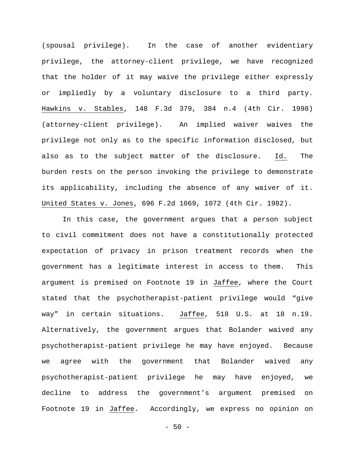(spousal privilege). In the case of another evidentiary privilege, the attorney-client privilege, we have recognized that the holder of it may waive the privilege either expressly or impliedly by a voluntary disclosure to a third party. Hawkins v. Stables, 148 F.3d 379, 384 n.4 (4th Cir. 1998) (attorney-client privilege). An implied waiver waives the privilege not only as to the specific information disclosed, but also as to the subject matter of the disclosure. Id. The burden rests on the person invoking the privilege to demonstrate its applicability, including the absence of any waiver of it. United States v. Jones, 696 F.2d 1069, 1072 (4th Cir. 1982).

In this case, the government argues that a person subject to civil commitment does not have a constitutionally protected expectation of privacy in prison treatment records when the government has a legitimate interest in access to them. This argument is premised on Footnote 19 in Jaffee, where the Court stated that the psychotherapist-patient privilege would "give way" in certain situations. Jaffee, 518 U.S. at 18 n.19. Alternatively, the government argues that Bolander waived any psychotherapist-patient privilege he may have enjoyed. Because we agree with the government that Bolander waived any psychotherapist-patient privilege he may have enjoyed, we decline to address the government's argument premised on Footnote 19 in Jaffee. Accordingly, we express no opinion on

 $-50 -$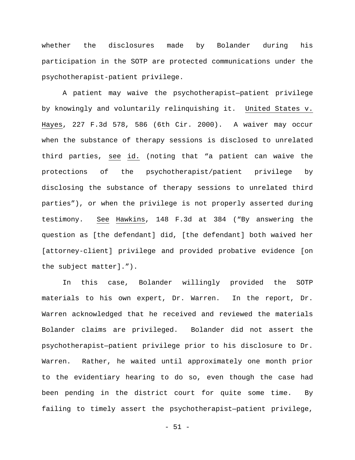whether the disclosures made by Bolander during his participation in the SOTP are protected communications under the psychotherapist-patient privilege.

A patient may waive the psychotherapist—patient privilege by knowingly and voluntarily relinquishing it. United States v. Hayes, 227 F.3d 578, 586 (6th Cir. 2000). A waiver may occur when the substance of therapy sessions is disclosed to unrelated third parties, see id. (noting that "a patient can waive the protections of the psychotherapist/patient privilege by disclosing the substance of therapy sessions to unrelated third parties"), or when the privilege is not properly asserted during testimony. See Hawkins, 148 F.3d at 384 ("By answering the question as [the defendant] did, [the defendant] both waived her [attorney-client] privilege and provided probative evidence [on the subject matter].").

In this case, Bolander willingly provided the SOTP materials to his own expert, Dr. Warren. In the report, Dr. Warren acknowledged that he received and reviewed the materials Bolander claims are privileged. Bolander did not assert the psychotherapist—patient privilege prior to his disclosure to Dr. Warren. Rather, he waited until approximately one month prior to the evidentiary hearing to do so, even though the case had been pending in the district court for quite some time. By failing to timely assert the psychotherapist—patient privilege,

 $-51 -$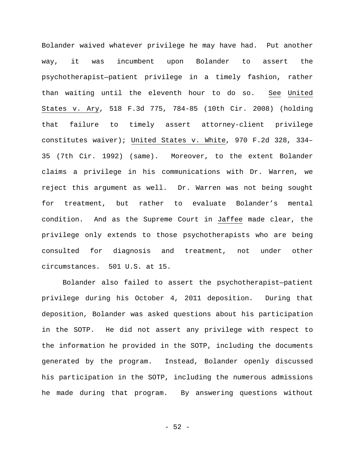Bolander waived whatever privilege he may have had. Put another way, it was incumbent upon Bolander to assert the psychotherapist—patient privilege in a timely fashion, rather than waiting until the eleventh hour to do so. See United States v. Ary, 518 F.3d 775, 784-85 (10th Cir. 2008) (holding that failure to timely assert attorney-client privilege constitutes waiver); United States v. White, 970 F.2d 328, 334– 35 (7th Cir. 1992) (same). Moreover, to the extent Bolander claims a privilege in his communications with Dr. Warren, we reject this argument as well. Dr. Warren was not being sought for treatment, but rather to evaluate Bolander's mental condition. And as the Supreme Court in Jaffee made clear, the privilege only extends to those psychotherapists who are being consulted for diagnosis and treatment, not under other circumstances. 501 U.S. at 15.

Bolander also failed to assert the psychotherapist—patient privilege during his October 4, 2011 deposition. During that deposition, Bolander was asked questions about his participation in the SOTP. He did not assert any privilege with respect to the information he provided in the SOTP, including the documents generated by the program. Instead, Bolander openly discussed his participation in the SOTP, including the numerous admissions he made during that program. By answering questions without

 $-52 -$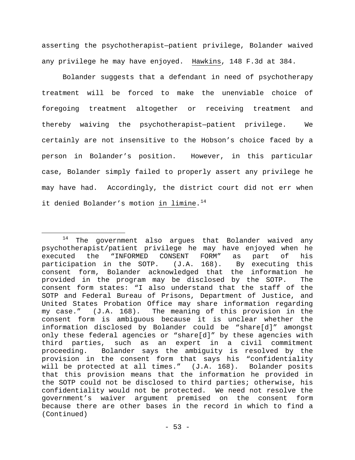asserting the psychotherapist—patient privilege, Bolander waived any privilege he may have enjoyed. Hawkins, 148 F.3d at 384.

Bolander suggests that a defendant in need of psychotherapy treatment will be forced to make the unenviable choice of foregoing treatment altogether or receiving treatment and thereby waiving the psychotherapist—patient privilege. We certainly are not insensitive to the Hobson's choice faced by a person in Bolander's position. However, in this particular case, Bolander simply failed to properly assert any privilege he may have had. Accordingly, the district court did not err when it denied Bolander's motion in limine.<sup>[14](#page-52-0)</sup>

<span id="page-52-0"></span> $14$  The government also argues that Bolander waived any psychotherapist/patient privilege he may have enjoyed when he<br>executed the "INFORMED CONSENT FORM" as part of his executed the "INFORMED CONSENT FORM" as part of his<br>participation in the SOTP. (J.A. 168). By executing this participation in the SOTP. consent form, Bolander acknowledged that the information he provided in the program may be disclosed by the SOTP. The consent form states: "I also understand that the staff of the SOTP and Federal Bureau of Prisons, Department of Justice, and United States Probation Office may share information regarding my case." (J.A. 168). The meaning of this provision in the consent form is ambiguous because it is unclear whether the information disclosed by Bolander could be "share[d]" amongst only these federal agencies or "share[d]" by these agencies with third parties, such as an expert in a civil commitment proceeding. Bolander says the ambiguity is resolved by the provision in the consent form that says his "confidentiality will be protected at all times." (J.A. 168). Bolander posits that this provision means that the information he provided in the SOTP could not be disclosed to third parties; otherwise, his confidentiality would not be protected. We need not resolve the government's waiver argument premised on the consent form because there are other bases in the record in which to find a (Continued)